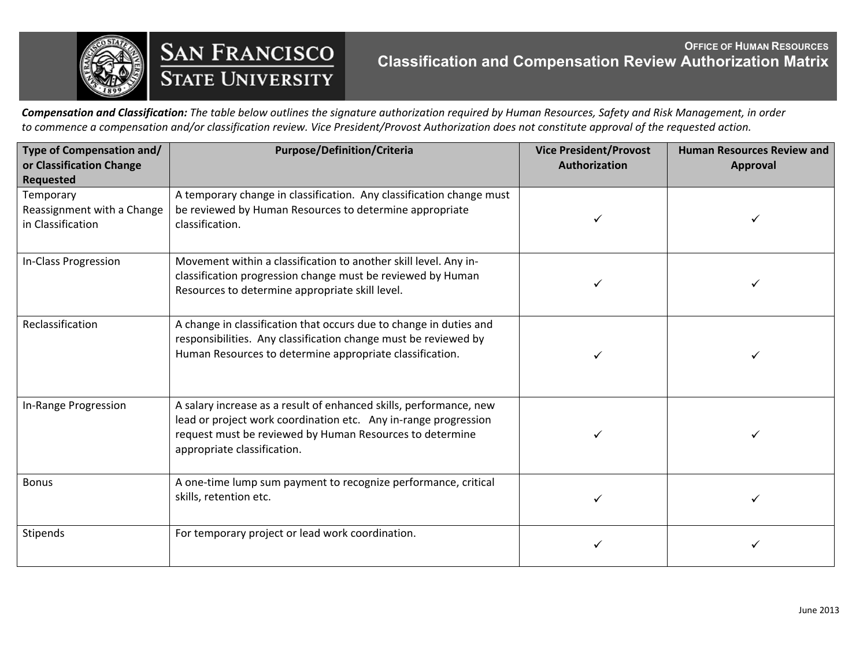

**SAN FRANCISCO**<br>STATE UNIVERSITY

## **OFFICE OF HUMAN RESOURCES Classification and Compensation Review Authorization Matrix**

Compensation and Classification: The table below outlines the signature authorization required by Human Resources, Safety and Risk Management, in order to commence a compensation and/or classification review. Vice President/Provost Authorization does not constitute approval of the requested action.

| Type of Compensation and/<br>or Classification Change<br><b>Requested</b> | <b>Purpose/Definition/Criteria</b>                                                                                                                                                                                               | <b>Vice President/Provost</b><br>Authorization | <b>Human Resources Review and</b><br><b>Approval</b> |
|---------------------------------------------------------------------------|----------------------------------------------------------------------------------------------------------------------------------------------------------------------------------------------------------------------------------|------------------------------------------------|------------------------------------------------------|
| Temporary<br>Reassignment with a Change<br>in Classification              | A temporary change in classification. Any classification change must<br>be reviewed by Human Resources to determine appropriate<br>classification.                                                                               |                                                |                                                      |
| In-Class Progression                                                      | Movement within a classification to another skill level. Any in-<br>classification progression change must be reviewed by Human<br>Resources to determine appropriate skill level.                                               |                                                |                                                      |
| Reclassification                                                          | A change in classification that occurs due to change in duties and<br>responsibilities. Any classification change must be reviewed by<br>Human Resources to determine appropriate classification.                                |                                                |                                                      |
| In-Range Progression                                                      | A salary increase as a result of enhanced skills, performance, new<br>lead or project work coordination etc. Any in-range progression<br>request must be reviewed by Human Resources to determine<br>appropriate classification. |                                                |                                                      |
| <b>Bonus</b>                                                              | A one-time lump sum payment to recognize performance, critical<br>skills, retention etc.                                                                                                                                         |                                                |                                                      |
| Stipends                                                                  | For temporary project or lead work coordination.                                                                                                                                                                                 |                                                |                                                      |